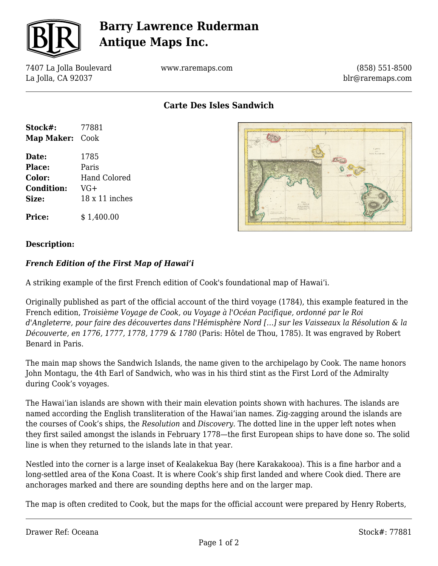

# **Barry Lawrence Ruderman Antique Maps Inc.**

7407 La Jolla Boulevard La Jolla, CA 92037

www.raremaps.com

(858) 551-8500 blr@raremaps.com

**Carte Des Isles Sandwich**

| Stock#:                | 77881          |
|------------------------|----------------|
| <b>Map Maker: Cook</b> |                |
| Date:                  | 1785           |
| <b>Place:</b>          | Paris          |
| Color:                 | Hand Colored   |
| <b>Condition:</b>      | $VG+$          |
| Size:                  | 18 x 11 inches |
| <b>Price:</b>          | \$1.400.00     |



#### **Description:**

### *French Edition of the First Map of Hawai'i*

A striking example of the first French edition of Cook's foundational map of Hawai'i.

Originally published as part of the official account of the third voyage (1784), this example featured in the French edition, *Troisième Voyage de Cook, ou Voyage à l'Océan Pacifique, ordonné par le Roi d'Angleterre, pour faire des découvertes dans l'Hémisphère Nord […] sur les Vaisseaux la Résolution & la Découverte, en 1776, 1777, 1778, 1779 & 1780* (Paris: Hôtel de Thou, 1785). It was engraved by Robert Benard in Paris.

The main map shows the Sandwich Islands, the name given to the archipelago by Cook. The name honors John Montagu, the 4th Earl of Sandwich, who was in his third stint as the First Lord of the Admiralty during Cook's voyages.

The Hawai'ian islands are shown with their main elevation points shown with hachures. The islands are named according the English transliteration of the Hawai'ian names. Zig-zagging around the islands are the courses of Cook's ships, the *Resolution* and *Discovery*. The dotted line in the upper left notes when they first sailed amongst the islands in February 1778—the first European ships to have done so. The solid line is when they returned to the islands late in that year.

Nestled into the corner is a large inset of Kealakekua Bay (here Karakakooa). This is a fine harbor and a long-settled area of the Kona Coast. It is where Cook's ship first landed and where Cook died. There are anchorages marked and there are sounding depths here and on the larger map.

The map is often credited to Cook, but the maps for the official account were prepared by Henry Roberts,